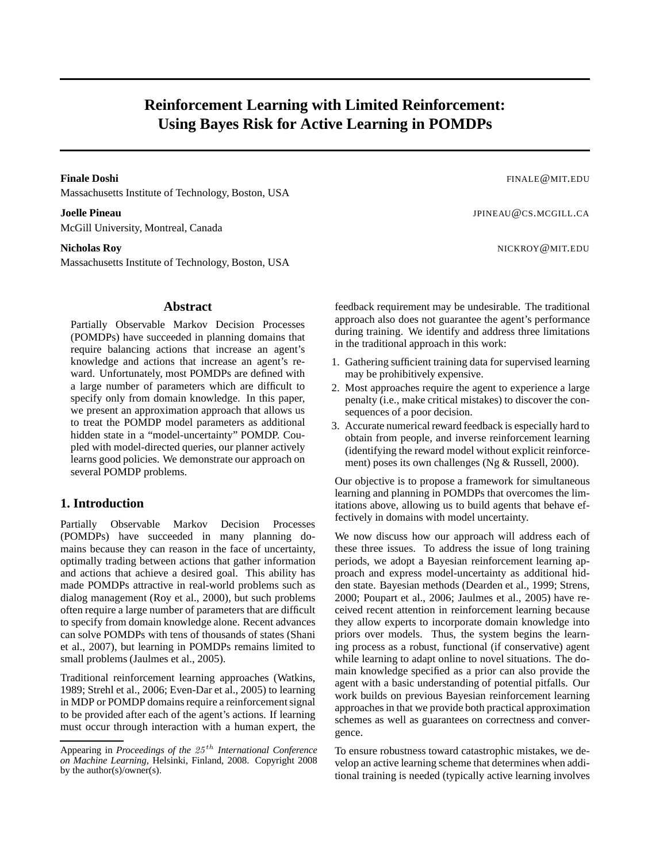# **Reinforcement Learning with Limited Reinforcement: Using Bayes Risk for Active Learning in POMDPs**

Massachusetts Institute of Technology, Boston, USA

**Joelle Pineau** JPINEAU@CS.MCGILL.CA McGill University, Montreal, Canada

Massachusetts Institute of Technology, Boston, USA

## **Abstract**

Partially Observable Markov Decision Processes (POMDPs) have succeeded in planning domains that require balancing actions that increase an agent's knowledge and actions that increase an agent's reward. Unfortunately, most POMDPs are defined with a large number of parameters which are difficult to specify only from domain knowledge. In this paper, we present an approximation approach that allows us to treat the POMDP model parameters as additional hidden state in a "model-uncertainty" POMDP. Coupled with model-directed queries, our planner actively learns good policies. We demonstrate our approach on several POMDP problems.

## **1. Introduction**

Partially Observable Markov Decision Processes (POMDPs) have succeeded in many planning domains because they can reason in the face of uncertainty, optimally trading between actions that gather information and actions that achieve a desired goal. This ability has made POMDPs attractive in real-world problems such as dialog management (Roy et al., 2000), but such problems often require a large number of parameters that are difficult to specify from domain knowledge alone. Recent advances can solve POMDPs with tens of thousands of states (Shani et al., 2007), but learning in POMDPs remains limited to small problems (Jaulmes et al., 2005).

Traditional reinforcement learning approaches (Watkins, 1989; Strehl et al., 2006; Even-Dar et al., 2005) to learning in MDP or POMDP domains require a reinforcement signal to be provided after each of the agent's actions. If learning must occur through interaction with a human expert, the

**Finale Doshi** FINALE@MIT.EDU

**Nicholas Roy** NICKROY@MIT.EDU

feedback requirement may be undesirable. The traditional approach also does not guarantee the agent's performance during training. We identify and address three limitations in the traditional approach in this work:

- 1. Gathering sufficient training data for supervised learning may be prohibitively expensive.
- 2. Most approaches require the agent to experience a large penalty (i.e., make critical mistakes) to discover the consequences of a poor decision.
- 3. Accurate numerical reward feedback is especially hard to obtain from people, and inverse reinforcement learning (identifying the reward model without explicit reinforcement) poses its own challenges (Ng & Russell, 2000).

Our objective is to propose a framework for simultaneous learning and planning in POMDPs that overcomes the limitations above, allowing us to build agents that behave effectively in domains with model uncertainty.

We now discuss how our approach will address each of these three issues. To address the issue of long training periods, we adopt a Bayesian reinforcement learning approach and express model-uncertainty as additional hidden state. Bayesian methods (Dearden et al., 1999; Strens, 2000; Poupart et al., 2006; Jaulmes et al., 2005) have received recent attention in reinforcement learning because they allow experts to incorporate domain knowledge into priors over models. Thus, the system begins the learning process as a robust, functional (if conservative) agent while learning to adapt online to novel situations. The domain knowledge specified as a prior can also provide the agent with a basic understanding of potential pitfalls. Our work builds on previous Bayesian reinforcement learning approaches in that we provide both practical approximation schemes as well as guarantees on correctness and convergence.

To ensure robustness toward catastrophic mistakes, we develop an active learning scheme that determines when additional training is needed (typically active learning involves

Appearing in *Proceedings of the* 25th *International Conference on Machine Learning*, Helsinki, Finland, 2008. Copyright 2008 by the author(s)/owner(s).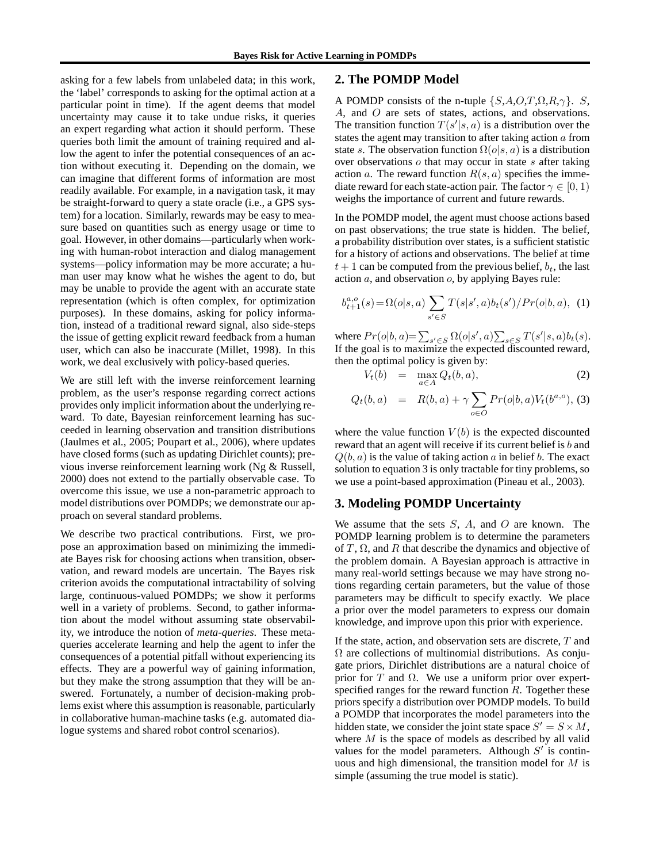asking for a few labels from unlabeled data; in this work, the 'label' corresponds to asking for the optimal action at a particular point in time). If the agent deems that model uncertainty may cause it to take undue risks, it queries an expert regarding what action it should perform. These queries both limit the amount of training required and allow the agent to infer the potential consequences of an action without executing it. Depending on the domain, we can imagine that different forms of information are most readily available. For example, in a navigation task, it may be straight-forward to query a state oracle (i.e., a GPS system) for a location. Similarly, rewards may be easy to measure based on quantities such as energy usage or time to goal. However, in other domains—particularly when working with human-robot interaction and dialog management systems—policy information may be more accurate; a human user may know what he wishes the agent to do, but may be unable to provide the agent with an accurate state representation (which is often complex, for optimization purposes). In these domains, asking for policy information, instead of a traditional reward signal, also side-steps the issue of getting explicit reward feedback from a human user, which can also be inaccurate (Millet, 1998). In this work, we deal exclusively with policy-based queries.

We are still left with the inverse reinforcement learning problem, as the user's response regarding correct actions provides only implicit information about the underlying reward. To date, Bayesian reinforcement learning has succeeded in learning observation and transition distributions (Jaulmes et al., 2005; Poupart et al., 2006), where updates have closed forms (such as updating Dirichlet counts); previous inverse reinforcement learning work (Ng & Russell, 2000) does not extend to the partially observable case. To overcome this issue, we use a non-parametric approach to model distributions over POMDPs; we demonstrate our approach on several standard problems.

We describe two practical contributions. First, we propose an approximation based on minimizing the immediate Bayes risk for choosing actions when transition, observation, and reward models are uncertain. The Bayes risk criterion avoids the computational intractability of solving large, continuous-valued POMDPs; we show it performs well in a variety of problems. Second, to gather information about the model without assuming state observability, we introduce the notion of *meta-queries*. These metaqueries accelerate learning and help the agent to infer the consequences of a potential pitfall without experiencing its effects. They are a powerful way of gaining information, but they make the strong assumption that they will be answered. Fortunately, a number of decision-making problems exist where this assumption is reasonable, particularly in collaborative human-machine tasks (e.g. automated dialogue systems and shared robot control scenarios).

## **2. The POMDP Model**

A POMDP consists of the n-tuple  $\{S, A, O, T, \Omega, R, \gamma\}$ . S, A, and O are sets of states, actions, and observations. The transition function  $T(s'|s, a)$  is a distribution over the states the agent may transition to after taking action  $\alpha$  from state s. The observation function  $\Omega(o|s, a)$  is a distribution over observations  $o$  that may occur in state  $s$  after taking action a. The reward function  $R(s, a)$  specifies the immediate reward for each state-action pair. The factor  $\gamma \in [0, 1)$ weighs the importance of current and future rewards.

In the POMDP model, the agent must choose actions based on past observations; the true state is hidden. The belief, a probability distribution over states, is a sufficient statistic for a history of actions and observations. The belief at time  $t + 1$  can be computed from the previous belief,  $b_t$ , the last action  $a$ , and observation  $o$ , by applying Bayes rule:

$$
b_{t+1}^{a,o}(s) = \Omega(o|s,a) \sum_{s' \in S} T(s|s',a) b_t(s') / Pr(o|b,a), \tag{1}
$$

where  $Pr(o|b, a) = \sum_{s' \in S} \Omega(o|s', a) \sum_{s \in S} T(s'|s, a) b_t(s)$ . If the goal is to maximize the expected discounted reward, then the optimal policy is given by:

$$
V_t(b) = \max_{a \in A} Q_t(b, a), \tag{2}
$$

$$
Q_t(b, a) = R(b, a) + \gamma \sum_{o \in O} Pr(o|b, a) V_t(b^{a, o}), (3)
$$

where the value function  $V(b)$  is the expected discounted reward that an agent will receive if its current belief is b and  $Q(b, a)$  is the value of taking action a in belief b. The exact solution to equation 3 is only tractable for tiny problems, so we use a point-based approximation (Pineau et al., 2003).

## **3. Modeling POMDP Uncertainty**

We assume that the sets  $S$ ,  $A$ , and  $O$  are known. The POMDP learning problem is to determine the parameters of T,  $\Omega$ , and R that describe the dynamics and objective of the problem domain. A Bayesian approach is attractive in many real-world settings because we may have strong notions regarding certain parameters, but the value of those parameters may be difficult to specify exactly. We place a prior over the model parameters to express our domain knowledge, and improve upon this prior with experience.

If the state, action, and observation sets are discrete,  $T$  and  $\Omega$  are collections of multinomial distributions. As conjugate priors, Dirichlet distributions are a natural choice of prior for T and  $\Omega$ . We use a uniform prior over expertspecified ranges for the reward function  $R$ . Together these priors specify a distribution over POMDP models. To build a POMDP that incorporates the model parameters into the hidden state, we consider the joint state space  $S' = S \times M$ , where  $M$  is the space of models as described by all valid values for the model parameters. Although  $S'$  is continuous and high dimensional, the transition model for M is simple (assuming the true model is static).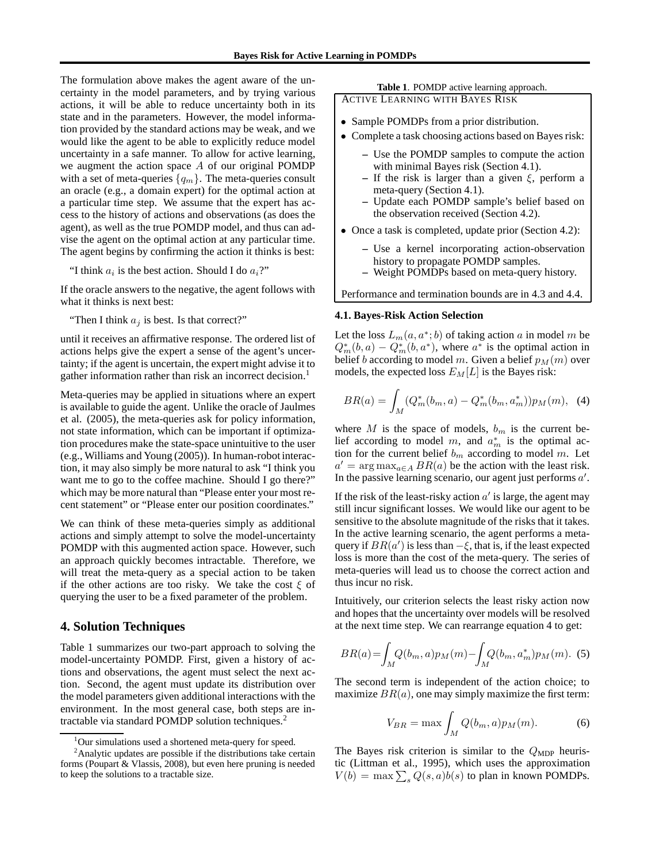The formulation above makes the agent aware of the uncertainty in the model parameters, and by trying various actions, it will be able to reduce uncertainty both in its state and in the parameters. However, the model information provided by the standard actions may be weak, and we would like the agent to be able to explicitly reduce model uncertainty in a safe manner. To allow for active learning, we augment the action space A of our original POMDP with a set of meta-queries  $\{q_m\}$ . The meta-queries consult an oracle (e.g., a domain expert) for the optimal action at a particular time step. We assume that the expert has access to the history of actions and observations (as does the agent), as well as the true POMDP model, and thus can advise the agent on the optimal action at any particular time. The agent begins by confirming the action it thinks is best:

"I think  $a_i$  is the best action. Should I do  $a_i$ ?"

If the oracle answers to the negative, the agent follows with what it thinks is next best:

"Then I think  $a_j$  is best. Is that correct?"

until it receives an affirmative response. The ordered list of actions helps give the expert a sense of the agent's uncertainty; if the agent is uncertain, the expert might advise it to gather information rather than risk an incorrect decision.<sup>1</sup>

Meta-queries may be applied in situations where an expert is available to guide the agent. Unlike the oracle of Jaulmes et al. (2005), the meta-queries ask for policy information, not state information, which can be important if optimization procedures make the state-space unintuitive to the user (e.g., Williams and Young (2005)). In human-robot interaction, it may also simply be more natural to ask "I think you want me to go to the coffee machine. Should I go there?" which may be more natural than "Please enter your most recent statement" or "Please enter our position coordinates."

We can think of these meta-queries simply as additional actions and simply attempt to solve the model-uncertainty POMDP with this augmented action space. However, such an approach quickly becomes intractable. Therefore, we will treat the meta-query as a special action to be taken if the other actions are too risky. We take the cost  $\xi$  of querying the user to be a fixed parameter of the problem.

## **4. Solution Techniques**

Table 1 summarizes our two-part approach to solving the model-uncertainty POMDP. First, given a history of actions and observations, the agent must select the next action. Second, the agent must update its distribution over the model parameters given additional interactions with the environment. In the most general case, both steps are intractable via standard POMDP solution techniques.<sup>2</sup>

## **Table 1**. POMDP active learning approach.

ACTIVE LEARNING WITH BAYES RISK

- Sample POMDPs from a prior distribution.
- Complete a task choosing actions based on Bayes risk:
	- **–** Use the POMDP samples to compute the action with minimal Bayes risk (Section 4.1).
	- **–** If the risk is larger than a given  $\xi$ , perform a meta-query (Section 4.1).
	- **–** Update each POMDP sample's belief based on the observation received (Section 4.2).
- Once a task is completed, update prior (Section 4.2):
	- **–** Use a kernel incorporating action-observation history to propagate POMDP samples.
	- **–** Weight POMDPs based on meta-query history.

Performance and termination bounds are in 4.3 and 4.4.

#### **4.1. Bayes-Risk Action Selection**

Let the loss  $L_m(a, a^*; b)$  of taking action a in model m be  $Q_m^*(b, a) - Q_m^*(b, a^*)$ , where  $a^*$  is the optimal action in belief b according to model m. Given a belief  $p_M(m)$  over models, the expected loss  $E_M[L]$  is the Bayes risk:

$$
BR(a) = \int_M (Q_m^*(b_m, a) - Q_m^*(b_m, a_m^*)) p_M(m), \quad (4)
$$

where M is the space of models,  $b_m$  is the current belief according to model m, and  $a_m^*$  is the optimal action for the current belief  $b_m$  according to model m. Let  $a' = \arg \max_{a \in A} BR(a)$  be the action with the least risk. In the passive learning scenario, our agent just performs  $a'$ .

If the risk of the least-risky action  $a'$  is large, the agent may still incur significant losses. We would like our agent to be sensitive to the absolute magnitude of the risks that it takes. In the active learning scenario, the agent performs a metaquery if  $BR(a')$  is less than  $-\xi$ , that is, if the least expected loss is more than the cost of the meta-query. The series of meta-queries will lead us to choose the correct action and thus incur no risk.

Intuitively, our criterion selects the least risky action now and hopes that the uncertainty over models will be resolved at the next time step. We can rearrange equation 4 to get:

$$
BR(a) = \int_M Q(b_m, a) p_M(m) - \int_M Q(b_m, a_m^*) p_M(m). \tag{5}
$$

The second term is independent of the action choice; to maximize  $BR(a)$ , one may simply maximize the first term:

$$
V_{BR} = \max \int_M Q(b_m, a) p_M(m). \tag{6}
$$

The Bayes risk criterion is similar to the  $Q_{MDP}$  heuristic (Littman et al., 1995), which uses the approximation  $V(b) = \max \sum_{s} Q(s, a)b(s)$  to plan in known POMDPs.

 $1$ Our simulations used a shortened meta-query for speed.

<sup>&</sup>lt;sup>2</sup>Analytic updates are possible if the distributions take certain forms (Poupart & Vlassis, 2008), but even here pruning is needed to keep the solutions to a tractable size.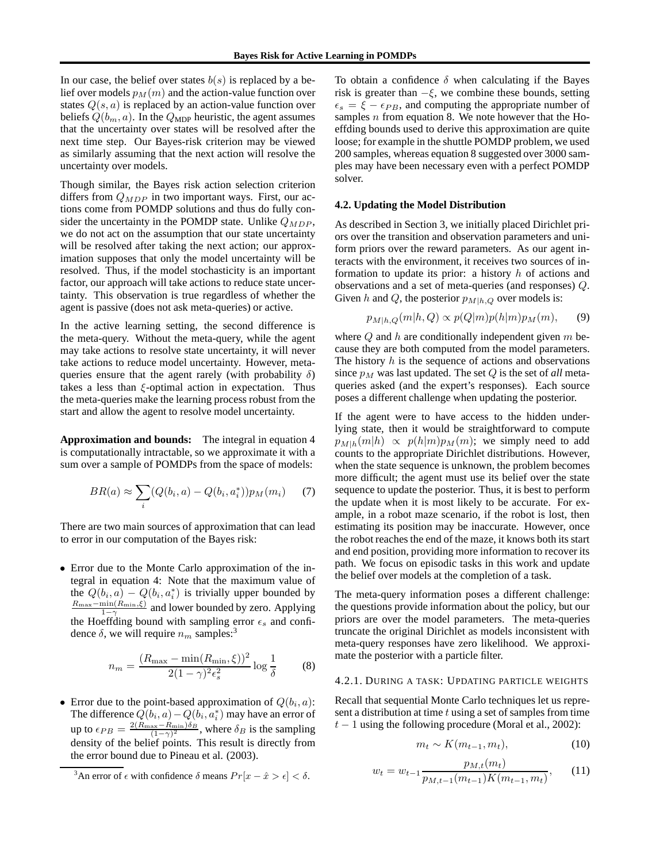In our case, the belief over states  $b(s)$  is replaced by a belief over models  $p_M(m)$  and the action-value function over states  $Q(s, a)$  is replaced by an action-value function over beliefs  $Q(b_m, a)$ . In the  $Q_{MDP}$  heuristic, the agent assumes that the uncertainty over states will be resolved after the next time step. Our Bayes-risk criterion may be viewed as similarly assuming that the next action will resolve the uncertainty over models.

Though similar, the Bayes risk action selection criterion differs from  $Q_{MDP}$  in two important ways. First, our actions come from POMDP solutions and thus do fully consider the uncertainty in the POMDP state. Unlike  $Q_{MDP}$ , we do not act on the assumption that our state uncertainty will be resolved after taking the next action; our approximation supposes that only the model uncertainty will be resolved. Thus, if the model stochasticity is an important factor, our approach will take actions to reduce state uncertainty. This observation is true regardless of whether the agent is passive (does not ask meta-queries) or active.

In the active learning setting, the second difference is the meta-query. Without the meta-query, while the agent may take actions to resolve state uncertainty, it will never take actions to reduce model uncertainty. However, metaqueries ensure that the agent rarely (with probability  $\delta$ ) takes a less than  $\xi$ -optimal action in expectation. Thus the meta-queries make the learning process robust from the start and allow the agent to resolve model uncertainty.

**Approximation and bounds:** The integral in equation 4 is computationally intractable, so we approximate it with a sum over a sample of POMDPs from the space of models:

$$
BR(a) \approx \sum_{i} (Q(b_i, a) - Q(b_i, a_i^*)) p_M(m_i) \tag{7}
$$

There are two main sources of approximation that can lead to error in our computation of the Bayes risk:

• Error due to the Monte Carlo approximation of the integral in equation 4: Note that the maximum value of the  $Q(b_i, a) - Q(b_i, a_i^*)$  is trivially upper bounded by  $R_{\text{max}}-\text{min}(R_{\text{min}},\xi)$  $\frac{\min(K_{\min}, \xi)}{1-\gamma}$  and lower bounded by zero. Applying the Hoeffding bound with sampling error  $\epsilon_s$  and confidence  $\delta$ , we will require  $n_m$  samples:<sup>3</sup>

$$
n_m = \frac{(R_{\text{max}} - \min(R_{\text{min}}, \xi))^2}{2(1 - \gamma)^2 \epsilon_s^2} \log \frac{1}{\delta}
$$
 (8)

• Error due to the point-based approximation of  $Q(b_i, a)$ : The difference  $Q(b_i, a) - Q(b_i, a_i^*)$  may have an error of up to  $\epsilon_{PB} = \frac{2(R_{\text{max}} - R_{\text{min}})\delta_B}{(1 - \gamma)^2}$ , where  $\delta_B$  is the sampling density of the belief points. This result is directly from the error bound due to Pineau et al. (2003).

To obtain a confidence  $\delta$  when calculating if the Bayes risk is greater than  $-\xi$ , we combine these bounds, setting  $\epsilon_s = \xi - \epsilon_{PB}$ , and computing the appropriate number of samples  $n$  from equation 8. We note however that the Hoeffding bounds used to derive this approximation are quite loose; for example in the shuttle POMDP problem, we used 200 samples, whereas equation 8 suggested over 3000 samples may have been necessary even with a perfect POMDP solver.

#### **4.2. Updating the Model Distribution**

As described in Section 3, we initially placed Dirichlet priors over the transition and observation parameters and uniform priors over the reward parameters. As our agent interacts with the environment, it receives two sources of information to update its prior: a history  $h$  of actions and observations and a set of meta-queries (and responses) Q. Given h and Q, the posterior  $p_{M|h,Q}$  over models is:

$$
p_{M|h,Q}(m|h,Q) \propto p(Q|m)p(h|m)p_M(m), \qquad (9)
$$

where  $Q$  and  $h$  are conditionally independent given  $m$  because they are both computed from the model parameters. The history  $h$  is the sequence of actions and observations since  $p_M$  was last updated. The set  $Q$  is the set of *all* metaqueries asked (and the expert's responses). Each source poses a different challenge when updating the posterior.

If the agent were to have access to the hidden underlying state, then it would be straightforward to compute  $p_{M|h}(m|h) \propto p(h|m)p_M(m)$ ; we simply need to add counts to the appropriate Dirichlet distributions. However, when the state sequence is unknown, the problem becomes more difficult; the agent must use its belief over the state sequence to update the posterior. Thus, it is best to perform the update when it is most likely to be accurate. For example, in a robot maze scenario, if the robot is lost, then estimating its position may be inaccurate. However, once the robot reaches the end of the maze, it knows both its start and end position, providing more information to recover its path. We focus on episodic tasks in this work and update the belief over models at the completion of a task.

The meta-query information poses a different challenge: the questions provide information about the policy, but our priors are over the model parameters. The meta-queries truncate the original Dirichlet as models inconsistent with meta-query responses have zero likelihood. We approximate the posterior with a particle filter.

#### 4.2.1. DURING A TASK: UPDATING PARTICLE WEIGHTS

Recall that sequential Monte Carlo techniques let us represent a distribution at time  $t$  using a set of samples from time  $t - 1$  using the following procedure (Moral et al., 2002):

$$
m_t \sim K(m_{t-1}, m_t), \tag{10}
$$

$$
w_t = w_{t-1} \frac{p_{M,t}(m_t)}{p_{M,t-1}(m_{t-1})K(m_{t-1}, m_t)},
$$
 (11)

<sup>&</sup>lt;sup>3</sup>An error of  $\epsilon$  with confidence  $\delta$  means  $Pr[x - \hat{x} > \epsilon] < \delta$ .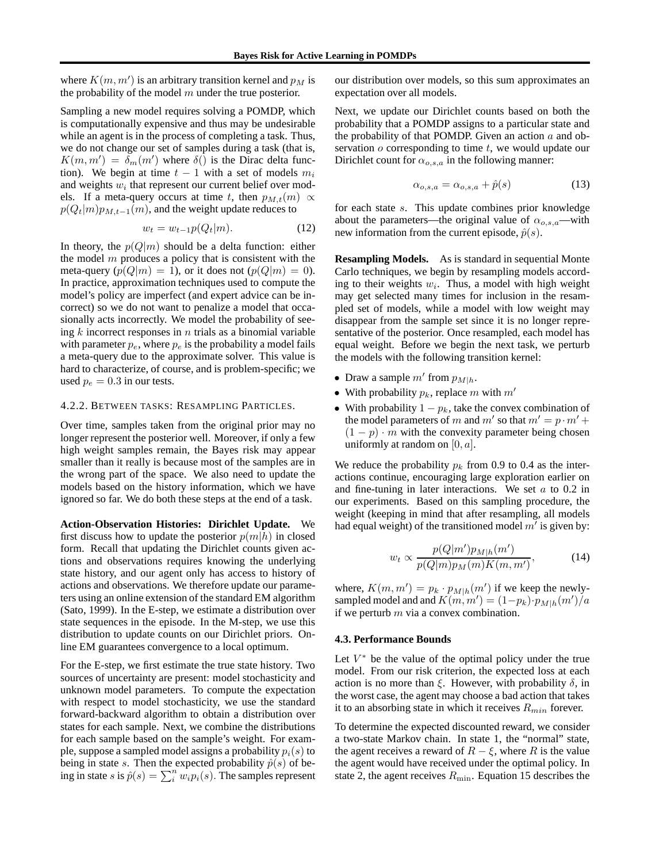where  $K(m, m')$  is an arbitrary transition kernel and  $p_M$  is the probability of the model  $m$  under the true posterior.

Sampling a new model requires solving a POMDP, which is computationally expensive and thus may be undesirable while an agent is in the process of completing a task. Thus, we do not change our set of samples during a task (that is,  $K(m, m') = \delta_m(m')$  where  $\delta()$  is the Dirac delta function). We begin at time  $t - 1$  with a set of models  $m_i$ and weights  $w_i$  that represent our current belief over models. If a meta-query occurs at time t, then  $p_{M,t}(m) \propto$  $p(Q_t|m)p_{M,t-1}(m)$ , and the weight update reduces to

$$
w_t = w_{t-1} p(Q_t|m). \tag{12}
$$

In theory, the  $p(Q|m)$  should be a delta function: either the model  $m$  produces a policy that is consistent with the meta-query  $(p(Q|m) = 1)$ , or it does not  $(p(Q|m) = 0)$ . In practice, approximation techniques used to compute the model's policy are imperfect (and expert advice can be incorrect) so we do not want to penalize a model that occasionally acts incorrectly. We model the probability of seeing  $k$  incorrect responses in  $n$  trials as a binomial variable with parameter  $p_e$ , where  $p_e$  is the probability a model fails a meta-query due to the approximate solver. This value is hard to characterize, of course, and is problem-specific; we used  $p_e = 0.3$  in our tests.

#### 4.2.2. BETWEEN TASKS: RESAMPLING PARTICLES.

Over time, samples taken from the original prior may no longer represent the posterior well. Moreover, if only a few high weight samples remain, the Bayes risk may appear smaller than it really is because most of the samples are in the wrong part of the space. We also need to update the models based on the history information, which we have ignored so far. We do both these steps at the end of a task.

**Action-Observation Histories: Dirichlet Update.** We first discuss how to update the posterior  $p(m|h)$  in closed form. Recall that updating the Dirichlet counts given actions and observations requires knowing the underlying state history, and our agent only has access to history of actions and observations. We therefore update our parameters using an online extension of the standard EM algorithm (Sato, 1999). In the E-step, we estimate a distribution over state sequences in the episode. In the M-step, we use this distribution to update counts on our Dirichlet priors. Online EM guarantees convergence to a local optimum.

For the E-step, we first estimate the true state history. Two sources of uncertainty are present: model stochasticity and unknown model parameters. To compute the expectation with respect to model stochasticity, we use the standard forward-backward algorithm to obtain a distribution over states for each sample. Next, we combine the distributions for each sample based on the sample's weight. For example, suppose a sampled model assigns a probability  $p_i(s)$  to being in state s. Then the expected probability  $\hat{p}(s)$  of being in state s is  $\hat{p}(s) = \sum_{i=1}^{n} w_i p_i(s)$ . The samples represent

our distribution over models, so this sum approximates an expectation over all models.

Next, we update our Dirichlet counts based on both the probability that a POMDP assigns to a particular state and the probability of that POMDP. Given an action  $a$  and observation  $o$  corresponding to time  $t$ , we would update our Dirichlet count for  $\alpha_{o,s,a}$  in the following manner:

$$
\alpha_{o,s,a} = \alpha_{o,s,a} + \hat{p}(s) \tag{13}
$$

for each state s. This update combines prior knowledge about the parameters—the original value of  $\alpha_{o,s,a}$ —with new information from the current episode,  $\hat{p}(s)$ .

**Resampling Models.** As is standard in sequential Monte Carlo techniques, we begin by resampling models according to their weights  $w_i$ . Thus, a model with high weight may get selected many times for inclusion in the resampled set of models, while a model with low weight may disappear from the sample set since it is no longer representative of the posterior. Once resampled, each model has equal weight. Before we begin the next task, we perturb the models with the following transition kernel:

- Draw a sample  $m'$  from  $p_{M|h}$ .
- With probability  $p_k$ , replace m with  $m'$
- With probability  $1 p_k$ , take the convex combination of the model parameters of m and m' so that  $m' = p \cdot m' +$  $(1 - p) \cdot m$  with the convexity parameter being chosen uniformly at random on  $[0, a]$ .

We reduce the probability  $p_k$  from 0.9 to 0.4 as the interactions continue, encouraging large exploration earlier on and fine-tuning in later interactions. We set  $a$  to 0.2 in our experiments. Based on this sampling procedure, the weight (keeping in mind that after resampling, all models had equal weight) of the transitioned model  $m'$  is given by:

$$
w_t \propto \frac{p(Q|m')p_{M|h}(m')}{p(Q|m)p_M(m)K(m,m')},\tag{14}
$$

where,  $K(m, m') = p_k \cdot p_{M|h}(m')$  if we keep the newlysampled model and and  $K(m, m') = (1-p_k) \cdot p_{M|h}(m')/a$ if we perturb  $m$  via a convex combination.

### **4.3. Performance Bounds**

Let  $V^*$  be the value of the optimal policy under the true model. From our risk criterion, the expected loss at each action is no more than  $\xi$ . However, with probability  $\delta$ , in the worst case, the agent may choose a bad action that takes it to an absorbing state in which it receives  $R_{min}$  forever.

To determine the expected discounted reward, we consider a two-state Markov chain. In state 1, the "normal" state, the agent receives a reward of  $R - \xi$ , where R is the value the agent would have received under the optimal policy. In state 2, the agent receives  $R_{\text{min}}$ . Equation 15 describes the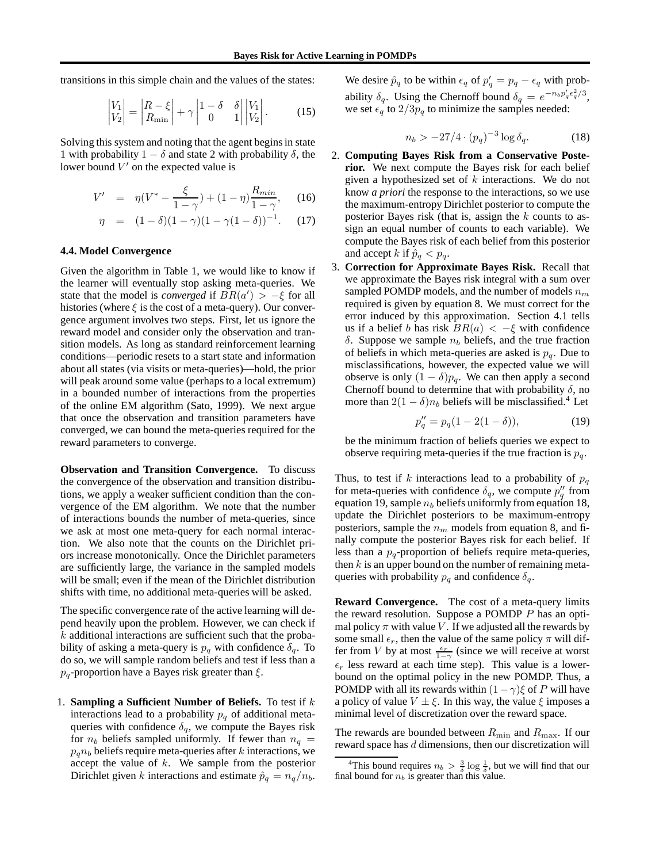transitions in this simple chain and the values of the states:

$$
\begin{vmatrix} V_1 \\ V_2 \end{vmatrix} = \begin{vmatrix} R - \xi \\ R_{\min} \end{vmatrix} + \gamma \begin{vmatrix} 1 - \delta & \delta \\ 0 & 1 \end{vmatrix} \begin{vmatrix} V_1 \\ V_2 \end{vmatrix}.
$$
 (15)

Solving this system and noting that the agent begins in state 1 with probability  $1 - \delta$  and state 2 with probability  $\delta$ , the lower bound  $V'$  on the expected value is

$$
V' = \eta (V^* - \frac{\xi}{1 - \gamma}) + (1 - \eta) \frac{R_{min}}{1 - \gamma}, \quad (16)
$$

$$
\eta = (1 - \delta)(1 - \gamma)(1 - \gamma(1 - \delta))^{-1}.
$$
 (17)

### **4.4. Model Convergence**

Given the algorithm in Table 1, we would like to know if the learner will eventually stop asking meta-queries. We state that the model is *converged* if  $BR(a') > -\xi$  for all histories (where  $\xi$  is the cost of a meta-query). Our convergence argument involves two steps. First, let us ignore the reward model and consider only the observation and transition models. As long as standard reinforcement learning conditions—periodic resets to a start state and information about all states (via visits or meta-queries)—hold, the prior will peak around some value (perhaps to a local extremum) in a bounded number of interactions from the properties of the online EM algorithm (Sato, 1999). We next argue that once the observation and transition parameters have converged, we can bound the meta-queries required for the reward parameters to converge.

**Observation and Transition Convergence.** To discuss the convergence of the observation and transition distributions, we apply a weaker sufficient condition than the convergence of the EM algorithm. We note that the number of interactions bounds the number of meta-queries, since we ask at most one meta-query for each normal interaction. We also note that the counts on the Dirichlet priors increase monotonically. Once the Dirichlet parameters are sufficiently large, the variance in the sampled models will be small; even if the mean of the Dirichlet distribution shifts with time, no additional meta-queries will be asked.

The specific convergence rate of the active learning will depend heavily upon the problem. However, we can check if  $k$  additional interactions are sufficient such that the probability of asking a meta-query is  $p_q$  with confidence  $\delta_q$ . To do so, we will sample random beliefs and test if less than a  $p_q$ -proportion have a Bayes risk greater than  $\xi$ .

1. **Sampling a Sufficient Number of Beliefs.** To test if k interactions lead to a probability  $p_q$  of additional metaqueries with confidence  $\delta_q$ , we compute the Bayes risk for  $n_b$  beliefs sampled uniformly. If fewer than  $n_q =$  $p_a n_b$  beliefs require meta-queries after k interactions, we accept the value of  $k$ . We sample from the posterior Dirichlet given k interactions and estimate  $\hat{p}_q = n_q/n_b$ .

We desire  $\hat{p}_q$  to be within  $\epsilon_q$  of  $p'_q = p_q - \epsilon_q$  with probability  $\delta_q$ . Using the Chernoff bound  $\delta_q = e^{-n_b p_q' \epsilon_q^2/3}$ , we set  $\epsilon_q$  to  $2/3p_q$  to minimize the samples needed:

$$
n_b > -27/4 \cdot (p_q)^{-3} \log \delta_q. \tag{18}
$$

- 2. **Computing Bayes Risk from a Conservative Posterior.** We next compute the Bayes risk for each belief given a hypothesized set of  $k$  interactions. We do not know *a priori* the response to the interactions, so we use the maximum-entropy Dirichlet posterior to compute the posterior Bayes risk (that is, assign the  $k$  counts to assign an equal number of counts to each variable). We compute the Bayes risk of each belief from this posterior and accept k if  $\hat{p}_q < p_q$ .
- 3. **Correction for Approximate Bayes Risk.** Recall that we approximate the Bayes risk integral with a sum over sampled POMDP models, and the number of models  $n_m$ required is given by equation 8. We must correct for the error induced by this approximation. Section 4.1 tells us if a belief b has risk  $BR(a) < -\xi$  with confidence δ. Suppose we sample  $n<sub>b</sub>$  beliefs, and the true fraction of beliefs in which meta-queries are asked is  $p<sub>q</sub>$ . Due to misclassifications, however, the expected value we will observe is only  $(1 - \delta)p_q$ . We can then apply a second Chernoff bound to determine that with probability  $\delta$ , no more than  $2(1 - \delta)n_b$  beliefs will be misclassified.<sup>4</sup> Let

$$
p_q'' = p_q(1 - 2(1 - \delta)), \tag{19}
$$

be the minimum fraction of beliefs queries we expect to observe requiring meta-queries if the true fraction is  $p_q$ .

Thus, to test if k interactions lead to a probability of  $p_q$ for meta-queries with confidence  $\delta_q$ , we compute  $p''_q$  from equation 19, sample  $n_b$  beliefs uniformly from equation 18, update the Dirichlet posteriors to be maximum-entropy posteriors, sample the  $n_m$  models from equation 8, and finally compute the posterior Bayes risk for each belief. If less than a  $p_q$ -proportion of beliefs require meta-queries, then  $k$  is an upper bound on the number of remaining metaqueries with probability  $p_q$  and confidence  $\delta_q$ .

**Reward Convergence.** The cost of a meta-query limits the reward resolution. Suppose a POMDP  $P$  has an optimal policy  $\pi$  with value V. If we adjusted all the rewards by some small  $\epsilon_r$ , then the value of the same policy  $\pi$  will differ from V by at most  $\frac{\epsilon_r}{1-\gamma}$  (since we will receive at worst  $\epsilon_r$  less reward at each time step). This value is a lowerbound on the optimal policy in the new POMDP. Thus, a POMDP with all its rewards within  $(1 - \gamma)\xi$  of P will have a policy of value  $V \pm \xi$ . In this way, the value  $\xi$  imposes a minimal level of discretization over the reward space.

The rewards are bounded between  $R_{\min}$  and  $R_{\max}$ . If our reward space has d dimensions, then our discretization will

<sup>&</sup>lt;sup>4</sup>This bound requires  $n_b > \frac{3}{\delta} \log \frac{1}{\delta}$ , but we will find that our final bound for  $n<sub>b</sub>$  is greater than this value.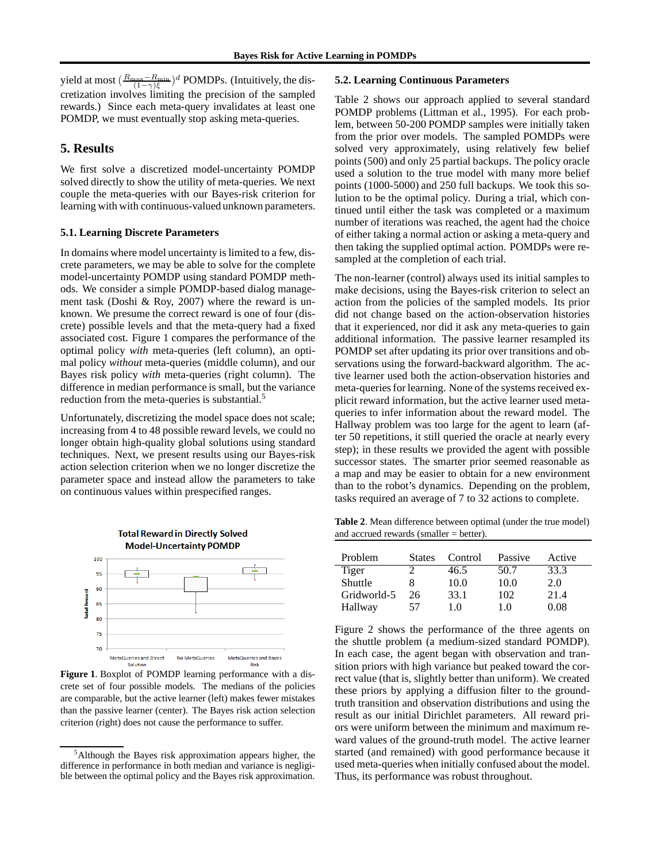yield at most  $(\frac{R_{\max}-R_{\min}}{(1-\gamma)\xi})^d$  POMDPs. (Intuitively, the discretization involves limiting the precision of the sampled rewards.) Since each meta-query invalidates at least one POMDP, we must eventually stop asking meta-queries.

## **5. Results**

We first solve a discretized model-uncertainty POMDP solved directly to show the utility of meta-queries. We next couple the meta-queries with our Bayes-risk criterion for learning with with continuous-valued unknown parameters.

#### **5.1. Learning Discrete Parameters**

In domains where model uncertainty is limited to a few, discrete parameters, we may be able to solve for the complete model-uncertainty POMDP using standard POMDP methods. We consider a simple POMDP-based dialog management task (Doshi & Roy, 2007) where the reward is unknown. We presume the correct reward is one of four (discrete) possible levels and that the meta-query had a fixed associated cost. Figure 1 compares the performance of the optimal policy *with* meta-queries (left column), an optimal policy *without* meta-queries (middle column), and our Bayes risk policy *with* meta-queries (right column). The difference in median performance is small, but the variance reduction from the meta-queries is substantial.<sup>5</sup>

Unfortunately, discretizing the model space does not scale; increasing from 4 to 48 possible reward levels, we could no longer obtain high-quality global solutions using standard techniques. Next, we present results using our Bayes-risk action selection criterion when we no longer discretize the parameter space and instead allow the parameters to take on continuous values within prespecified ranges.



**Total Reward in Directly Solved** 

## **Figure 1**. Boxplot of POMDP learning performance with a discrete set of four possible models. The medians of the policies are comparable, but the active learner (left) makes fewer mistakes than the passive learner (center). The Bayes risk action selection criterion (right) does not cause the performance to suffer.

#### **5.2. Learning Continuous Parameters**

Table 2 shows our approach applied to several standard POMDP problems (Littman et al., 1995). For each problem, between 50-200 POMDP samples were initially taken from the prior over models. The sampled POMDPs were solved very approximately, using relatively few belief points (500) and only 25 partial backups. The policy oracle used a solution to the true model with many more belief points (1000-5000) and 250 full backups. We took this solution to be the optimal policy. During a trial, which continued until either the task was completed or a maximum number of iterations was reached, the agent had the choice of either taking a normal action or asking a meta-query and then taking the supplied optimal action. POMDPs were resampled at the completion of each trial.

The non-learner (control) always used its initial samples to make decisions, using the Bayes-risk criterion to select an action from the policies of the sampled models. Its prior did not change based on the action-observation histories that it experienced, nor did it ask any meta-queries to gain additional information. The passive learner resampled its POMDP set after updating its prior over transitions and observations using the forward-backward algorithm. The active learner used both the action-observation histories and meta-queries for learning. None of the systems received explicit reward information, but the active learner used metaqueries to infer information about the reward model. The Hallway problem was too large for the agent to learn (after 50 repetitions, it still queried the oracle at nearly every step); in these results we provided the agent with possible successor states. The smarter prior seemed reasonable as a map and may be easier to obtain for a new environment than to the robot's dynamics. Depending on the problem, tasks required an average of 7 to 32 actions to complete.

**Table 2**. Mean difference between optimal (under the true model) and accrued rewards (smaller = better).

| Problem     | <b>States</b> | Control | Passive | Active |
|-------------|---------------|---------|---------|--------|
| Tiger       |               | 46.5    | 50.7    | 33.3   |
| Shuttle     | x             | 10.0    | 10.0    | 2.0    |
| Gridworld-5 | 26.           | 33.1    | 102     | 21.4   |
| Hallway     | 57            | 10      | 10      | 0.08   |

Figure 2 shows the performance of the three agents on the shuttle problem (a medium-sized standard POMDP). In each case, the agent began with observation and transition priors with high variance but peaked toward the correct value (that is, slightly better than uniform). We created these priors by applying a diffusion filter to the groundtruth transition and observation distributions and using the result as our initial Dirichlet parameters. All reward priors were uniform between the minimum and maximum reward values of the ground-truth model. The active learner started (and remained) with good performance because it used meta-queries when initially confused about the model. Thus, its performance was robust throughout.

<sup>&</sup>lt;sup>5</sup>Although the Bayes risk approximation appears higher, the difference in performance in both median and variance is negligible between the optimal policy and the Bayes risk approximation.